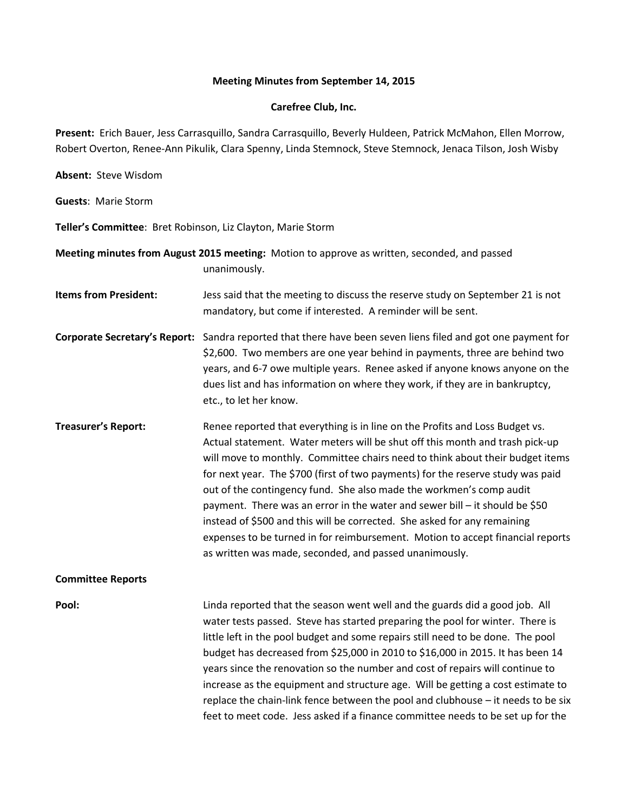## **Meeting Minutes from September 14, 2015**

## **Carefree Club, Inc.**

**Present:** Erich Bauer, Jess Carrasquillo, Sandra Carrasquillo, Beverly Huldeen, Patrick McMahon, Ellen Morrow, Robert Overton, Renee-Ann Pikulik, Clara Spenny, Linda Stemnock, Steve Stemnock, Jenaca Tilson, Josh Wisby

| Absent: Steve Wisdom                                        |                                                                                                                                                                                                                                                                                                                                                                                                                                                                                                                                                                                                                                                                                                                |  |
|-------------------------------------------------------------|----------------------------------------------------------------------------------------------------------------------------------------------------------------------------------------------------------------------------------------------------------------------------------------------------------------------------------------------------------------------------------------------------------------------------------------------------------------------------------------------------------------------------------------------------------------------------------------------------------------------------------------------------------------------------------------------------------------|--|
| <b>Guests: Marie Storm</b>                                  |                                                                                                                                                                                                                                                                                                                                                                                                                                                                                                                                                                                                                                                                                                                |  |
| Teller's Committee: Bret Robinson, Liz Clayton, Marie Storm |                                                                                                                                                                                                                                                                                                                                                                                                                                                                                                                                                                                                                                                                                                                |  |
|                                                             | Meeting minutes from August 2015 meeting: Motion to approve as written, seconded, and passed<br>unanimously.                                                                                                                                                                                                                                                                                                                                                                                                                                                                                                                                                                                                   |  |
| <b>Items from President:</b>                                | Jess said that the meeting to discuss the reserve study on September 21 is not<br>mandatory, but come if interested. A reminder will be sent.                                                                                                                                                                                                                                                                                                                                                                                                                                                                                                                                                                  |  |
|                                                             | Corporate Secretary's Report: Sandra reported that there have been seven liens filed and got one payment for<br>\$2,600. Two members are one year behind in payments, three are behind two<br>years, and 6-7 owe multiple years. Renee asked if anyone knows anyone on the<br>dues list and has information on where they work, if they are in bankruptcy,<br>etc., to let her know.                                                                                                                                                                                                                                                                                                                           |  |
| <b>Treasurer's Report:</b>                                  | Renee reported that everything is in line on the Profits and Loss Budget vs.<br>Actual statement. Water meters will be shut off this month and trash pick-up<br>will move to monthly. Committee chairs need to think about their budget items<br>for next year. The \$700 (first of two payments) for the reserve study was paid<br>out of the contingency fund. She also made the workmen's comp audit<br>payment. There was an error in the water and sewer bill - it should be \$50<br>instead of \$500 and this will be corrected. She asked for any remaining<br>expenses to be turned in for reimbursement. Motion to accept financial reports<br>as written was made, seconded, and passed unanimously. |  |
| <b>Committee Reports</b>                                    |                                                                                                                                                                                                                                                                                                                                                                                                                                                                                                                                                                                                                                                                                                                |  |
| Pool:                                                       | Linda reported that the season went well and the guards did a good job. All<br>water tests passed. Steve has started preparing the pool for winter. There is<br>little left in the pool budget and some repairs still need to be done. The pool<br>budget has decreased from \$25,000 in 2010 to \$16,000 in 2015. It has been 14<br>years since the renovation so the number and cost of repairs will continue to<br>increase as the equipment and structure age. Will be getting a cost estimate to<br>replace the chain-link fence between the pool and clubhouse - it needs to be six<br>feet to meet code. Jess asked if a finance committee needs to be set up for the                                   |  |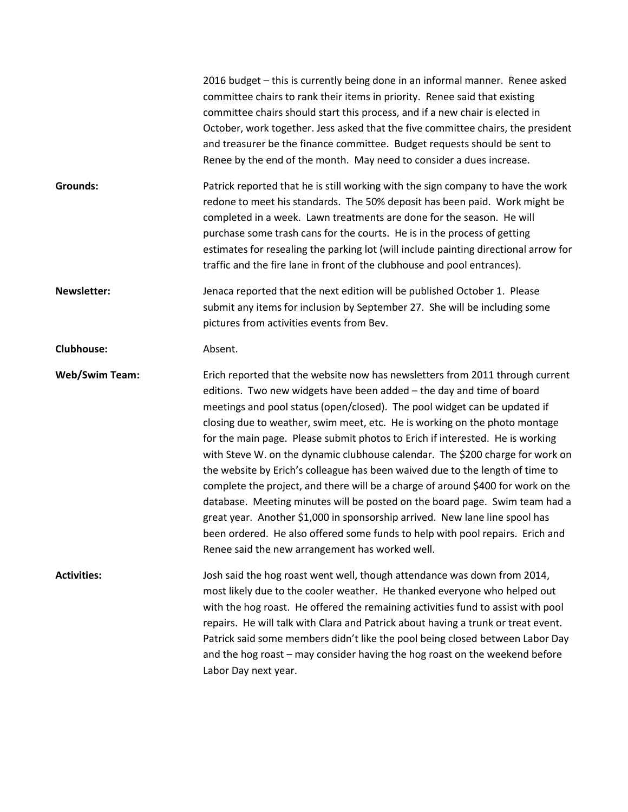|                       | 2016 budget – this is currently being done in an informal manner. Renee asked<br>committee chairs to rank their items in priority. Renee said that existing<br>committee chairs should start this process, and if a new chair is elected in<br>October, work together. Jess asked that the five committee chairs, the president<br>and treasurer be the finance committee. Budget requests should be sent to<br>Renee by the end of the month. May need to consider a dues increase.                                                                                                                                                                                                                                                                                                                                                                                                                                                                       |
|-----------------------|------------------------------------------------------------------------------------------------------------------------------------------------------------------------------------------------------------------------------------------------------------------------------------------------------------------------------------------------------------------------------------------------------------------------------------------------------------------------------------------------------------------------------------------------------------------------------------------------------------------------------------------------------------------------------------------------------------------------------------------------------------------------------------------------------------------------------------------------------------------------------------------------------------------------------------------------------------|
| <b>Grounds:</b>       | Patrick reported that he is still working with the sign company to have the work<br>redone to meet his standards. The 50% deposit has been paid. Work might be<br>completed in a week. Lawn treatments are done for the season. He will<br>purchase some trash cans for the courts. He is in the process of getting<br>estimates for resealing the parking lot (will include painting directional arrow for<br>traffic and the fire lane in front of the clubhouse and pool entrances).                                                                                                                                                                                                                                                                                                                                                                                                                                                                    |
| <b>Newsletter:</b>    | Jenaca reported that the next edition will be published October 1. Please<br>submit any items for inclusion by September 27. She will be including some<br>pictures from activities events from Bev.                                                                                                                                                                                                                                                                                                                                                                                                                                                                                                                                                                                                                                                                                                                                                       |
| <b>Clubhouse:</b>     | Absent.                                                                                                                                                                                                                                                                                                                                                                                                                                                                                                                                                                                                                                                                                                                                                                                                                                                                                                                                                    |
| <b>Web/Swim Team:</b> | Erich reported that the website now has newsletters from 2011 through current<br>editions. Two new widgets have been added - the day and time of board<br>meetings and pool status (open/closed). The pool widget can be updated if<br>closing due to weather, swim meet, etc. He is working on the photo montage<br>for the main page. Please submit photos to Erich if interested. He is working<br>with Steve W. on the dynamic clubhouse calendar. The \$200 charge for work on<br>the website by Erich's colleague has been waived due to the length of time to<br>complete the project, and there will be a charge of around \$400 for work on the<br>database. Meeting minutes will be posted on the board page. Swim team had a<br>great year. Another \$1,000 in sponsorship arrived. New lane line spool has<br>been ordered. He also offered some funds to help with pool repairs. Erich and<br>Renee said the new arrangement has worked well. |
| <b>Activities:</b>    | Josh said the hog roast went well, though attendance was down from 2014,<br>most likely due to the cooler weather. He thanked everyone who helped out<br>with the hog roast. He offered the remaining activities fund to assist with pool<br>repairs. He will talk with Clara and Patrick about having a trunk or treat event.<br>Patrick said some members didn't like the pool being closed between Labor Day<br>and the hog roast - may consider having the hog roast on the weekend before<br>Labor Day next year.                                                                                                                                                                                                                                                                                                                                                                                                                                     |